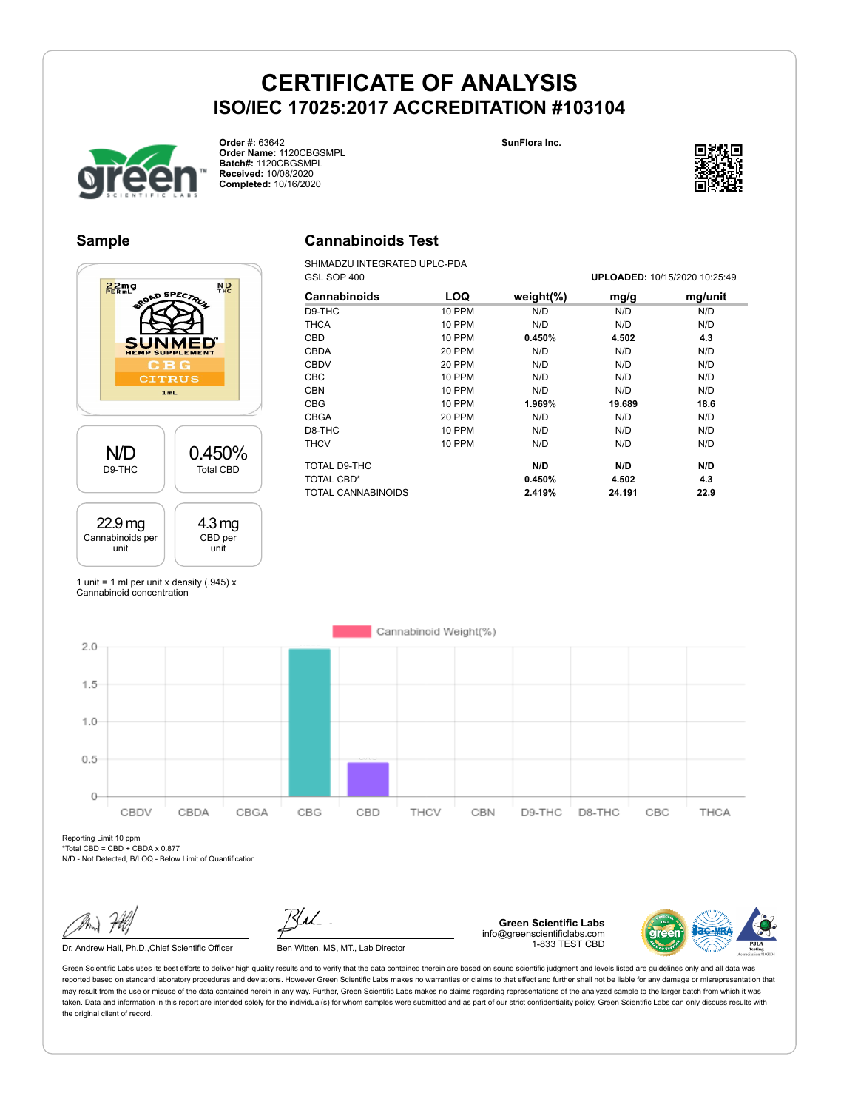



**Order #:** 63642 **Order Name:** 1120CBGSMPL **Batch#:** 1120CBGSMPL **Received:** 10/08/2020 **Completed:** 10/16/2020



### **Sample**

## $22mg$ **N<sub>D</sub> CITRUS**  $1 mL$ N/D 0.450% D9-THC Total CBD 22.9 mg 4.3 mg Cannabinoids per CBD per unit unit

## **Cannabinoids Test**

SHIMADZU INTEGRATED UPLC-PDA GSL SOP 400 **UPLOADED:** 10/15/2020 10:25:49

|               |               |        | 01 LUADLD. 107 1072020 10.20. <del>1</del> 0 |
|---------------|---------------|--------|----------------------------------------------|
| LOQ           | weight $(\%)$ | mg/g   | mg/unit                                      |
| <b>10 PPM</b> | N/D           | N/D    | N/D                                          |
| 10 PPM        | N/D           | N/D    | N/D                                          |
| <b>10 PPM</b> | 0.450%        | 4.502  | 4.3                                          |
| 20 PPM        | N/D           | N/D    | N/D                                          |
| 20 PPM        | N/D           | N/D    | N/D                                          |
| 10 PPM        | N/D           | N/D    | N/D                                          |
| <b>10 PPM</b> | N/D           | N/D    | N/D                                          |
| <b>10 PPM</b> | 1.969%        | 19.689 | 18.6                                         |
| 20 PPM        | N/D           | N/D    | N/D                                          |
| <b>10 PPM</b> | N/D           | N/D    | N/D                                          |
| 10 PPM        | N/D           | N/D    | N/D                                          |
|               | N/D           | N/D    | N/D                                          |
|               | 0.450%        | 4.502  | 4.3                                          |
|               | 2.419%        | 24.191 | 22.9                                         |
|               |               |        |                                              |

1 unit = 1 ml per unit x density  $(.945)$  x Cannabinoid concentration



Reporting Limit 10 ppm \*Total CBD = CBD + CBDA x 0.877

N/D - Not Detected, B/LOQ - Below Limit of Quantification

Dr. Andrew Hall, Ph.D., Chief Scientific Officer Ben Witten, MS, MT., Lab Director

**Green Scientific Labs** info@greenscientificlabs.com 1-833 TEST CBD

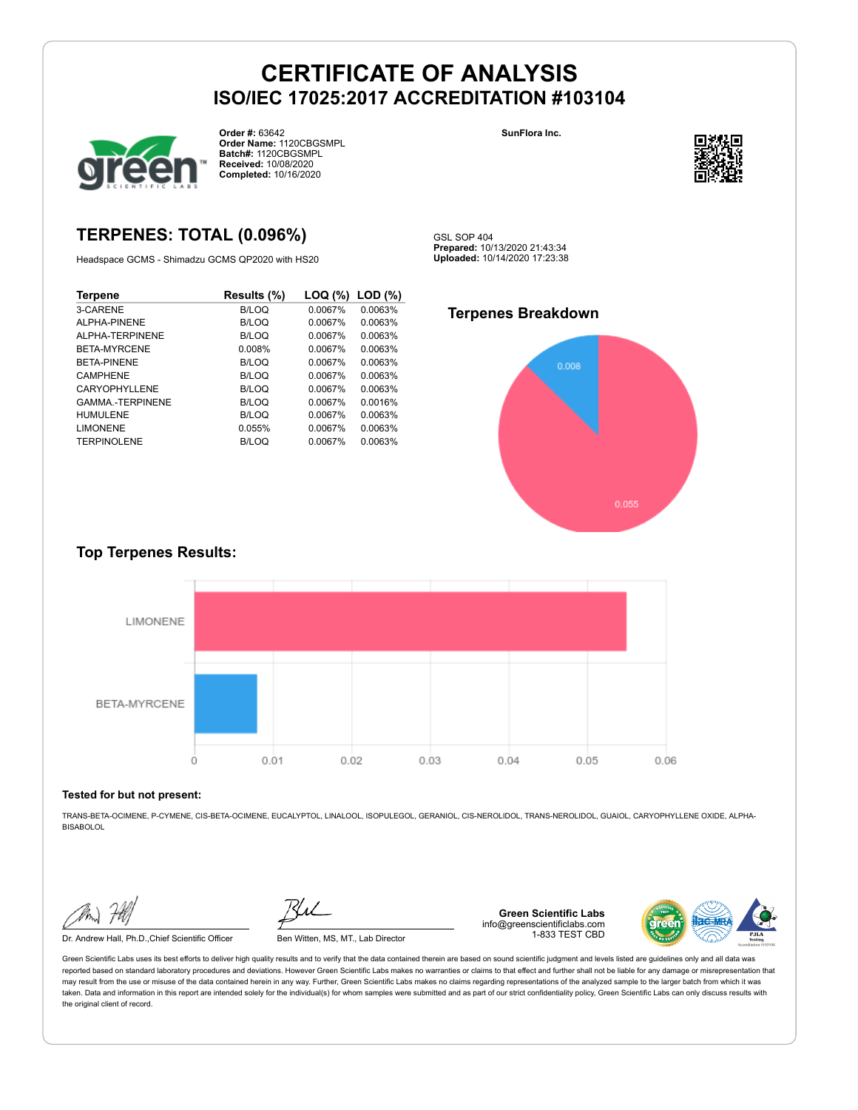

**Order #:** 63642 **Order Name:** 1120CBGSMPL **Batch#:** 1120CBGSMPL **Received:** 10/08/2020 **Completed:** 10/16/2020

**SunFlora Inc.**



## **TERPENES: TOTAL (0.096%)**

Headspace GCMS - Shimadzu GCMS QP2020 with HS20

| <b>Terpene</b>         | Results (%) | LOQ (%) | $LOD$ $(\%)$ |
|------------------------|-------------|---------|--------------|
| 3-CARENE               | B/LOQ       | 0.0067% | 0.0063%      |
| AI PHA-PINENE          | B/LOQ       | 0.0067% | 0.0063%      |
| ALPHA-TERPINENE        | B/LOQ       | 0.0067% | 0.0063%      |
| BETA-MYRCENE           | 0.008%      | 0.0067% | 0.0063%      |
| <b>BETA-PINENE</b>     | B/LOQ       | 0.0067% | 0.0063%      |
| <b>CAMPHENE</b>        | B/LOQ       | 0.0067% | 0.0063%      |
| CARYOPHYLLENE          | B/LOQ       | 0.0067% | 0.0063%      |
| <b>GAMMA-TERPINENE</b> | B/LOQ       | 0.0067% | 0.0016%      |
| <b>HUMULENE</b>        | B/LOQ       | 0.0067% | 0.0063%      |
| <b>LIMONENE</b>        | 0.055%      | 0.0067% | 0.0063%      |
| <b>TERPINOLENE</b>     | B/LOQ       | 0.0067% | 0.0063%      |

**Prepared:** 10/13/2020 21:43:34 **Uploaded:** 10/14/2020 17:23:38

GSL SOP 404

### **Terpenes Breakdown**



### **Top Terpenes Results:**



#### **Tested for but not present:**

TRANS-BETA-OCIMENE, P-CYMENE, CIS-BETA-OCIMENE, EUCALYPTOL, LINALOOL, ISOPULEGOL, GERANIOL, CIS-NEROLIDOL, TRANS-NEROLIDOL, GUAIOL, CARYOPHYLLENE OXIDE, ALPHA-**BISABOLOL** 

Dr. Andrew Hall, Ph.D.,Chief Scientific Officer Ben Witten, MS, MT., Lab Director

**Green Scientific Labs** info@greenscientificlabs.com 1-833 TEST CBD

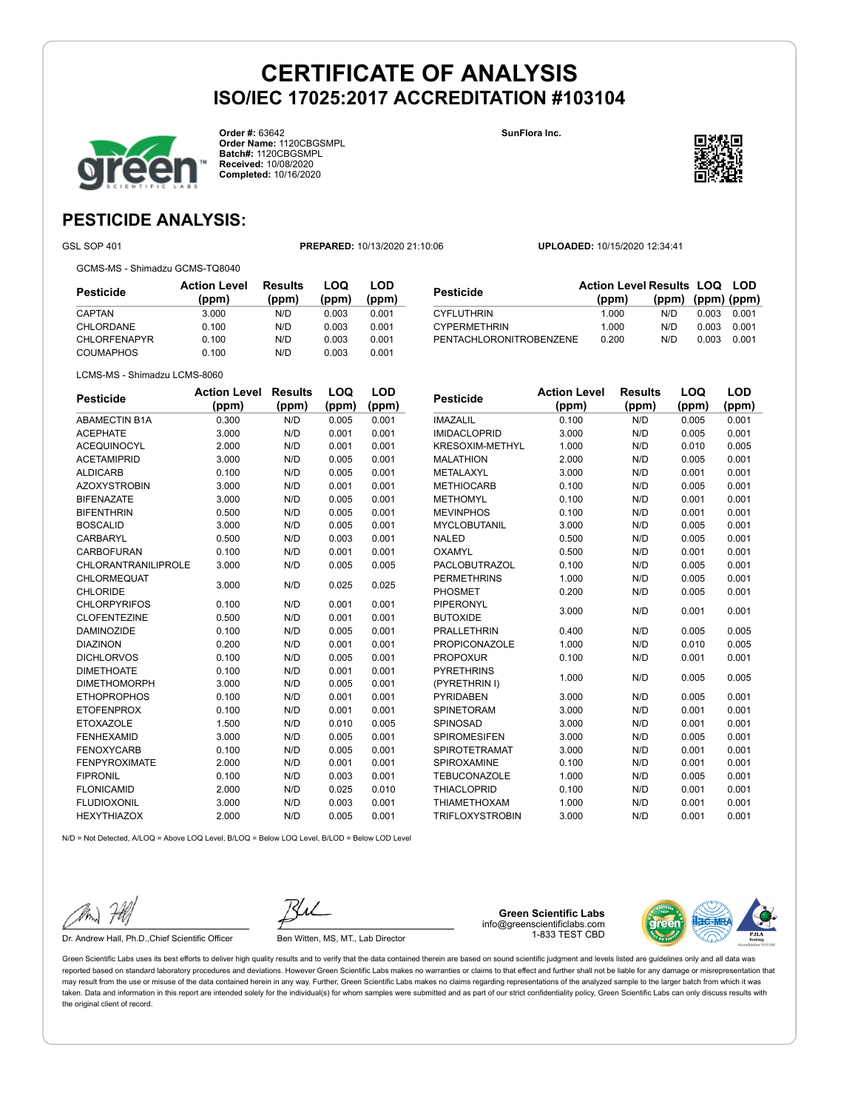

**Order #:** 63642 **Order Name:** 1120CBGSMPL **Batch#:** 1120CBGSMPL **Received:** 10/08/2020 **Completed:** 10/16/2020

**SunFlora Inc.**



**LOQ**

**LOD**

## **PESTICIDE ANALYSIS:**

GSL SOP 401 **PREPARED:** 10/13/2020 21:10:06 **UPLOADED:** 10/15/2020 12:34:41

GCMS-MS - Shimadzu GCMS-TQ8040

| Pesticide           | <b>Action Level</b><br>(ppm) | Results<br>(ppm) | LOQ<br>(ppm) | LOD<br>(ppm) |
|---------------------|------------------------------|------------------|--------------|--------------|
| <b>CAPTAN</b>       | 3.000                        | N/D              | 0.003        | 0.001        |
| <b>CHLORDANE</b>    | 0.100                        | N/D              | 0.003        | 0.001        |
| <b>CHLORFENAPYR</b> | 0.100                        | N/D              | 0.003        | 0.001        |
| <b>COUMAPHOS</b>    | 0.100                        | N/D              | 0.003        | 0.001        |

| Pesticide               | <b>Action Level Results LOQ LOD</b> |                   |       |       |
|-------------------------|-------------------------------------|-------------------|-------|-------|
|                         | (ppm)                               | (ppm) (ppm) (ppm) |       |       |
| CYFLUTHRIN              | 1.000                               | N/D               | 0.003 | 0.001 |
| <b>CYPERMETHRIN</b>     | 1.000                               | N/D               | 0.003 | 0.001 |
| PENTACHLORONITROBENZENE | 0.200                               | N/D               | 0.003 | 0.001 |

LCMS-MS - Shimadzu LCMS-8060

| <b>Pesticide</b>           | <b>Action Level</b> | <b>Results</b> | LOQ   | <b>LOD</b> |
|----------------------------|---------------------|----------------|-------|------------|
|                            | (ppm)               | (ppm)          | (ppm) | (ppm)      |
| <b>ABAMECTIN B1A</b>       | 0.300               | N/D            | 0.005 | 0.001      |
| <b>ACEPHATE</b>            | 3.000               | N/D            | 0.001 | 0.001      |
| <b>ACEQUINOCYL</b>         | 2.000               | N/D            | 0.001 | 0.001      |
| <b>ACETAMIPRID</b>         | 3.000               | N/D            | 0.005 | 0.001      |
| <b>ALDICARB</b>            | 0.100               | N/D            | 0.005 | 0.001      |
| <b>AZOXYSTROBIN</b>        | 3.000               | N/D            | 0.001 | 0.001      |
| <b>BIFENAZATE</b>          | 3.000               | N/D            | 0.005 | 0.001      |
| <b>BIFENTHRIN</b>          | 0.500               | N/D            | 0.005 | 0.001      |
| <b>BOSCALID</b>            | 3.000               | N/D            | 0.005 | 0.001      |
| CARBARYL                   | 0.500               | N/D            | 0.003 | 0.001      |
| <b>CARBOFURAN</b>          | 0.100               | N/D            | 0.001 | 0.001      |
| <b>CHLORANTRANILIPROLE</b> | 3.000               | N/D            | 0.005 | 0.005      |
| CHLORMEQUAT                | 3.000               | N/D            | 0.025 | 0.025      |
| CHLORIDE                   |                     |                |       |            |
| <b>CHLORPYRIFOS</b>        | 0.100               | N/D            | 0.001 | 0.001      |
| <b>CLOFENTEZINE</b>        | 0.500               | N/D            | 0.001 | 0.001      |
| <b>DAMINOZIDE</b>          | 0.100               | N/D            | 0.005 | 0.001      |
| <b>DIAZINON</b>            | 0.200               | N/D            | 0.001 | 0.001      |
| <b>DICHLORVOS</b>          | 0.100               | N/D            | 0.005 | 0.001      |
| <b>DIMETHOATE</b>          | 0.100               | N/D            | 0.001 | 0.001      |
| <b>DIMETHOMORPH</b>        | 3.000               | N/D            | 0.005 | 0.001      |
| <b>ETHOPROPHOS</b>         | 0.100               | N/D            | 0.001 | 0.001      |
| <b>ETOFENPROX</b>          | 0.100               | N/D            | 0.001 | 0.001      |
| <b>ETOXAZOLE</b>           | 1.500               | N/D            | 0.010 | 0.005      |
| <b>FENHEXAMID</b>          | 3.000               | N/D            | 0.005 | 0.001      |
| <b>FENOXYCARB</b>          | 0.100               | N/D            | 0.005 | 0.001      |
| <b>FENPYROXIMATE</b>       | 2.000               | N/D            | 0.001 | 0.001      |
| <b>FIPRONIL</b>            | 0.100               | N/D            | 0.003 | 0.001      |
| <b>FLONICAMID</b>          | 2.000               | N/D            | 0.025 | 0.010      |
| <b>FLUDIOXONIL</b>         | 3.000               | N/D            | 0.003 | 0.001      |
| <b>HEXYTHIAZOX</b>         | 2.000               | N/D            | 0.005 | 0.001      |

| Pesticide            | <b>Action Level</b> | Results | LOQ   | LOD   |
|----------------------|---------------------|---------|-------|-------|
|                      | (ppm)               | (ppm)   | (ppm) | (ppm) |
| <b>IMAZALIL</b>      | 0.100               | N/D     | 0.005 | 0.001 |
| <b>IMIDACLOPRID</b>  | 3.000               | N/D     | 0.005 | 0.001 |
| KRESOXIM-METHYL      | 1.000               | N/D     | 0.010 | 0.005 |
| <b>MALATHION</b>     | 2.000               | N/D     | 0.005 | 0.001 |
| METALAXYL            | 3.000               | N/D     | 0.001 | 0.001 |
| <b>METHIOCARB</b>    | 0.100               | N/D     | 0.005 | 0.001 |
| <b>METHOMYL</b>      | 0.100               | N/D     | 0.001 | 0.001 |
| <b>MEVINPHOS</b>     | 0.100               | N/D     | 0.001 | 0.001 |
| <b>MYCLOBUTANIL</b>  | 3.000               | N/D     | 0.005 | 0.001 |
| <b>NALED</b>         | 0.500               | N/D     | 0.005 | 0.001 |
| OXAMYL               | 0.500               | N/D     | 0.001 | 0.001 |
| <b>PACLOBUTRAZOL</b> | 0.100               | N/D     | 0.005 | 0.001 |
| <b>PERMETHRINS</b>   | 1.000               | N/D     | 0.005 | 0.001 |
| <b>PHOSMET</b>       | 0.200               | N/D     | 0.005 | 0.001 |
| <b>PIPERONYL</b>     | 3.000               | N/D     | 0.001 | 0.001 |
| <b>BUTOXIDE</b>      |                     |         |       |       |
| <b>PRALLETHRIN</b>   | 0.400               | N/D     | 0.005 | 0.005 |
| <b>PROPICONAZOLE</b> | 1.000               | N/D     | 0.010 | 0.005 |
| <b>PROPOXUR</b>      | 0.100               | N/D     | 0.001 | 0.001 |
| <b>PYRETHRINS</b>    | 1.000               | N/D     | 0.005 | 0.005 |
| (PYRETHRIN I)        |                     |         |       |       |
| <b>PYRIDABEN</b>     | 3.000               | N/D     | 0.005 | 0.001 |
| SPINETORAM           | 3.000               | N/D     | 0.001 | 0.001 |
| SPINOSAD             | 3.000               | N/D     | 0.001 | 0.001 |
| <b>SPIROMESIFEN</b>  | 3.000               | N/D     | 0.005 | 0.001 |
| SPIROTETRAMAT        | 3.000               | N/D     | 0.001 | 0.001 |
| <b>SPIROXAMINE</b>   | 0.100               | N/D     | 0.001 | 0.001 |

TEBUCONAZOLE 1.000 N/D 0.005 0.001 THIACLOPRID 0.100 N/D 0.001 0.001 THIAMETHOXAM 1.000 N/D 0.001 0.001 TRIFLOXYSTROBIN 3.000 N/D 0.001 0.001

 $N/D = N$ ot Detected, A/LOQ = Above LOQ Level, B/LOQ = Below LOQ Level, B/LOD = Below LOD Level

Dr. Andrew Hall, Ph.D., Chief Scientific Officer Ben Witten, MS, MT., Lab Director

**Green Scientific Labs** info@greenscientificlabs.com 1-833 TEST CBD

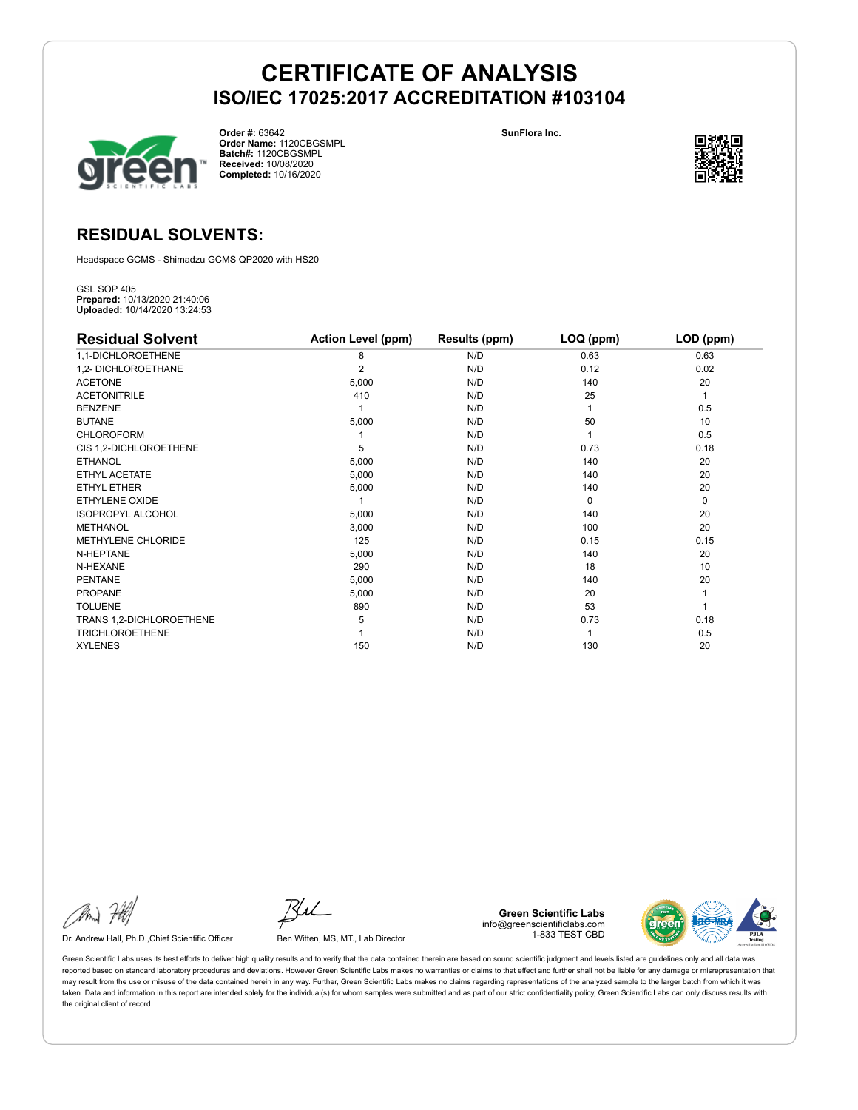

**Order #:** 63642 **Order Name:** 1120CBGSMPL **Batch#:** 1120CBGSMPL **Received:** 10/08/2020 **Completed:** 10/16/2020

**SunFlora Inc.**



## **RESIDUAL SOLVENTS:**

Headspace GCMS - Shimadzu GCMS QP2020 with HS20

GSL SOP 405 **Prepared:** 10/13/2020 21:40:06 **Uploaded:** 10/14/2020 13:24:53

| <b>Residual Solvent</b>  | <b>Action Level (ppm)</b> | Results (ppm) | LOQ (ppm) | LOD (ppm) |
|--------------------------|---------------------------|---------------|-----------|-----------|
| 1,1-DICHLOROETHENE       | 8                         | N/D           | 0.63      | 0.63      |
| 1,2- DICHLOROETHANE      | 2                         | N/D           | 0.12      | 0.02      |
| <b>ACETONE</b>           | 5,000                     | N/D           | 140       | 20        |
| <b>ACETONITRILE</b>      | 410                       | N/D           | 25        | 1         |
| <b>BENZENE</b>           |                           | N/D           |           | 0.5       |
| <b>BUTANE</b>            | 5,000                     | N/D           | 50        | 10        |
| <b>CHLOROFORM</b>        |                           | N/D           |           | 0.5       |
| CIS 1,2-DICHLOROETHENE   | 5                         | N/D           | 0.73      | 0.18      |
| <b>ETHANOL</b>           | 5,000                     | N/D           | 140       | 20        |
| ETHYL ACETATE            | 5,000                     | N/D           | 140       | 20        |
| <b>ETHYL ETHER</b>       | 5,000                     | N/D           | 140       | 20        |
| ETHYLENE OXIDE           |                           | N/D           | $\Omega$  | 0         |
| <b>ISOPROPYL ALCOHOL</b> | 5,000                     | N/D           | 140       | 20        |
| <b>METHANOL</b>          | 3,000                     | N/D           | 100       | 20        |
| METHYLENE CHLORIDE       | 125                       | N/D           | 0.15      | 0.15      |
| N-HEPTANE                | 5,000                     | N/D           | 140       | 20        |
| N-HEXANE                 | 290                       | N/D           | 18        | 10        |
| <b>PENTANE</b>           | 5,000                     | N/D           | 140       | 20        |
| <b>PROPANE</b>           | 5,000                     | N/D           | 20        |           |
| <b>TOLUENE</b>           | 890                       | N/D           | 53        |           |
| TRANS 1,2-DICHLOROETHENE | 5                         | N/D           | 0.73      | 0.18      |
| <b>TRICHLOROETHENE</b>   |                           | N/D           |           | 0.5       |
| <b>XYLENES</b>           | 150                       | N/D           | 130       | 20        |

Dr. Andrew Hall, Ph.D., Chief Scientific Officer Ben Witten, MS, MT., Lab Director

**Green Scientific Labs** info@greenscientificlabs.com 1-833 TEST CBD

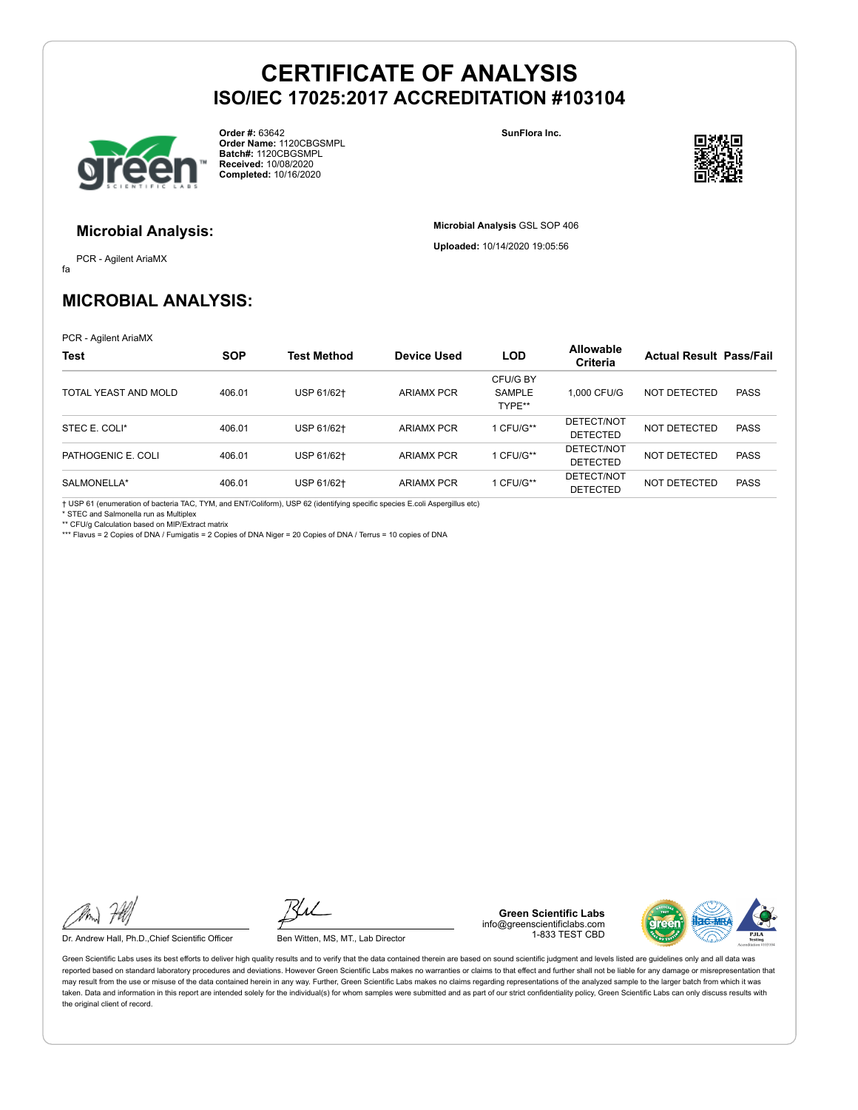

**Order #:** 63642 **Order Name:** 1120CBGSMPL **Batch#:** 1120CBGSMPL **Received:** 10/08/2020 **Completed:** 10/16/2020

**SunFlora Inc.**

**Microbial Analysis** GSL SOP 406 **Uploaded:** 10/14/2020 19:05:56



### **Microbial Analysis:**

fa PCR - Agilent AriaMX

# **MICROBIAL ANALYSIS:**

PCR - Agilent AriaMX

| <b>Test</b>          | <b>SOP</b> | Test Method | <b>Device Used</b> | <b>LOD</b>                          | <b>Allowable</b><br><b>Criteria</b> | <b>Actual Result Pass/Fail</b> |             |
|----------------------|------------|-------------|--------------------|-------------------------------------|-------------------------------------|--------------------------------|-------------|
| TOTAL YEAST AND MOLD | 406.01     | USP 61/62+  | <b>ARIAMX PCR</b>  | CFU/G BY<br><b>SAMPLE</b><br>TYPE** | 1.000 CFU/G                         | NOT DETECTED                   | <b>PASS</b> |
| STEC E. COLI*        | 406.01     | USP 61/62+  | <b>ARIAMX PCR</b>  | CFU/G**                             | DETECT/NOT<br><b>DETECTED</b>       | NOT DETECTED                   | <b>PASS</b> |
| PATHOGENIC E. COLI   | 406.01     | USP 61/62+  | <b>ARIAMX PCR</b>  | CFU/G**                             | DETECT/NOT<br><b>DETECTED</b>       | NOT DETECTED                   | <b>PASS</b> |
| SALMONELLA*          | 406.01     | USP 61/62+  | <b>ARIAMX PCR</b>  | CFU/G**                             | DETECT/NOT<br><b>DETECTED</b>       | NOT DETECTED                   | <b>PASS</b> |

† USP 61 (enumeration of bacteria TAC, TYM, and ENT/Coliform), USP 62 (identifying specific species E.coli Aspergillus etc)

\* STEC and Salmonella run as Multiplex

\*\* CFU/g Calculation based on MIP/Extract matrix \*\*\* Flavus = 2 Copies of DNA / Fumigatis = 2 Copies of DNA Niger = 20 Copies of DNA / Terrus = 10 copies of DNA

Dr. Andrew Hall, Ph.D., Chief Scientific Officer Ben Witten, MS, MT., Lab Director

**Green Scientific Labs** info@greenscientificlabs.com 1-833 TEST CBD